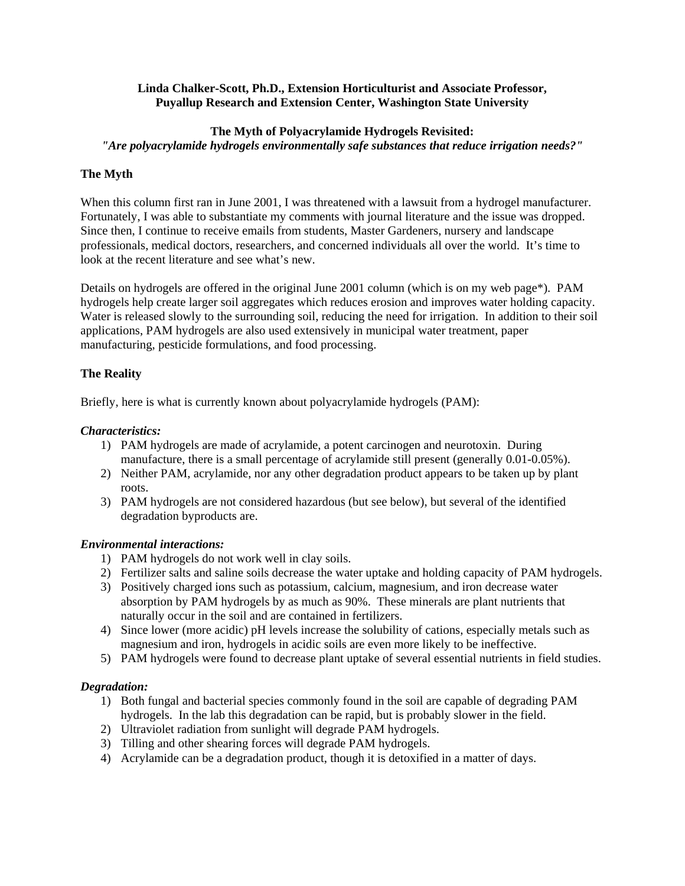### **Linda Chalker-Scott, Ph.D., Extension Horticulturist and Associate Professor, Puyallup Research and Extension Center, Washington State University**

### **The Myth of Polyacrylamide Hydrogels Revisited:**

*"Are polyacrylamide hydrogels environmentally safe substances that reduce irrigation needs?"* 

### **The Myth**

When this column first ran in June 2001, I was threatened with a lawsuit from a hydrogel manufacturer. Fortunately, I was able to substantiate my comments with journal literature and the issue was dropped. Since then, I continue to receive emails from students, Master Gardeners, nursery and landscape professionals, medical doctors, researchers, and concerned individuals all over the world. It's time to look at the recent literature and see what's new.

Details on hydrogels are offered in the original June 2001 column (which is on my web page\*). PAM hydrogels help create larger soil aggregates which reduces erosion and improves water holding capacity. Water is released slowly to the surrounding soil, reducing the need for irrigation. In addition to their soil applications, PAM hydrogels are also used extensively in municipal water treatment, paper manufacturing, pesticide formulations, and food processing.

### **The Reality**

Briefly, here is what is currently known about polyacrylamide hydrogels (PAM):

### *Characteristics:*

- 1) PAM hydrogels are made of acrylamide, a potent carcinogen and neurotoxin. During manufacture, there is a small percentage of acrylamide still present (generally 0.01-0.05%).
- 2) Neither PAM, acrylamide, nor any other degradation product appears to be taken up by plant roots.
- 3) PAM hydrogels are not considered hazardous (but see below), but several of the identified degradation byproducts are.

### *Environmental interactions:*

- 1) PAM hydrogels do not work well in clay soils.
- 2) Fertilizer salts and saline soils decrease the water uptake and holding capacity of PAM hydrogels.
- 3) Positively charged ions such as potassium, calcium, magnesium, and iron decrease water absorption by PAM hydrogels by as much as 90%. These minerals are plant nutrients that naturally occur in the soil and are contained in fertilizers.
- 4) Since lower (more acidic) pH levels increase the solubility of cations, especially metals such as magnesium and iron, hydrogels in acidic soils are even more likely to be ineffective.
- 5) PAM hydrogels were found to decrease plant uptake of several essential nutrients in field studies.

### *Degradation:*

- 1) Both fungal and bacterial species commonly found in the soil are capable of degrading PAM hydrogels. In the lab this degradation can be rapid, but is probably slower in the field.
- 2) Ultraviolet radiation from sunlight will degrade PAM hydrogels.
- 3) Tilling and other shearing forces will degrade PAM hydrogels.
- 4) Acrylamide can be a degradation product, though it is detoxified in a matter of days.